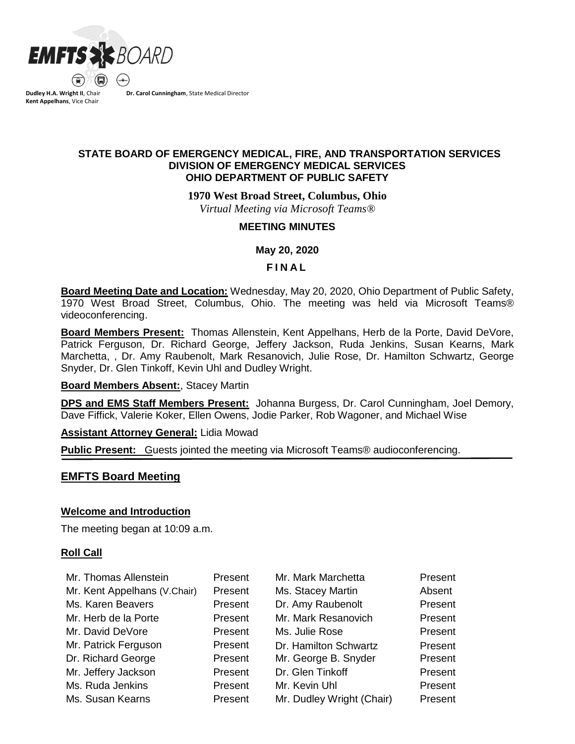

**Dudley H.A. Wright II**, Chair **Kent Appelhans**, Vice Chair

**Dr. Carol Cunningham**, State Medical Director

# **STATE BOARD OF EMERGENCY MEDICAL, FIRE, AND TRANSPORTATION SERVICES DIVISION OF EMERGENCY MEDICAL SERVICES OHIO DEPARTMENT OF PUBLIC SAFETY**

**1970 West Broad Street, Columbus, Ohio**

*Virtual Meeting via Microsoft Teams®*

## **MEETING MINUTES**

**May 20, 2020**

## **F I N A L**

**Board Meeting Date and Location:** Wednesday, May 20, 2020, Ohio Department of Public Safety, 1970 West Broad Street, Columbus, Ohio. The meeting was held via Microsoft Teams® videoconferencing.

**Board Members Present:** Thomas Allenstein, Kent Appelhans, Herb de la Porte, David DeVore, Patrick Ferguson, Dr. Richard George, Jeffery Jackson, Ruda Jenkins, Susan Kearns, Mark Marchetta, , Dr. Amy Raubenolt, Mark Resanovich, Julie Rose, Dr. Hamilton Schwartz, George Snyder, Dr. Glen Tinkoff, Kevin Uhl and Dudley Wright.

## **Board Members Absent:**, Stacey Martin

**DPS and EMS Staff Members Present:** Johanna Burgess, Dr. Carol Cunningham, Joel Demory, Dave Fiffick, Valerie Koker, Ellen Owens, Jodie Parker, Rob Wagoner, and Michael Wise

**Assistant Attorney General:** Lidia Mowad

**Public Present:** Guests jointed the meeting via Microsoft Teams® audioconferencing.

# **EMFTS Board Meeting**

## **Welcome and Introduction**

The meeting began at 10:09 a.m.

## **Roll Call**

| Mr. Thomas Allenstein        | Present | Mr. Mark Marchetta        | Present |
|------------------------------|---------|---------------------------|---------|
| Mr. Kent Appelhans (V.Chair) | Present | Ms. Stacey Martin         | Absent  |
| Ms. Karen Beavers            | Present | Dr. Amy Raubenolt         | Present |
| Mr. Herb de la Porte         | Present | Mr. Mark Resanovich       | Present |
| Mr. David DeVore             | Present | Ms. Julie Rose            | Present |
| Mr. Patrick Ferguson         | Present | Dr. Hamilton Schwartz     | Present |
| Dr. Richard George           | Present | Mr. George B. Snyder      | Present |
| Mr. Jeffery Jackson          | Present | Dr. Glen Tinkoff          | Present |
| Ms. Ruda Jenkins             | Present | Mr. Kevin Uhl             | Present |
| Ms. Susan Kearns             | Present | Mr. Dudley Wright (Chair) | Present |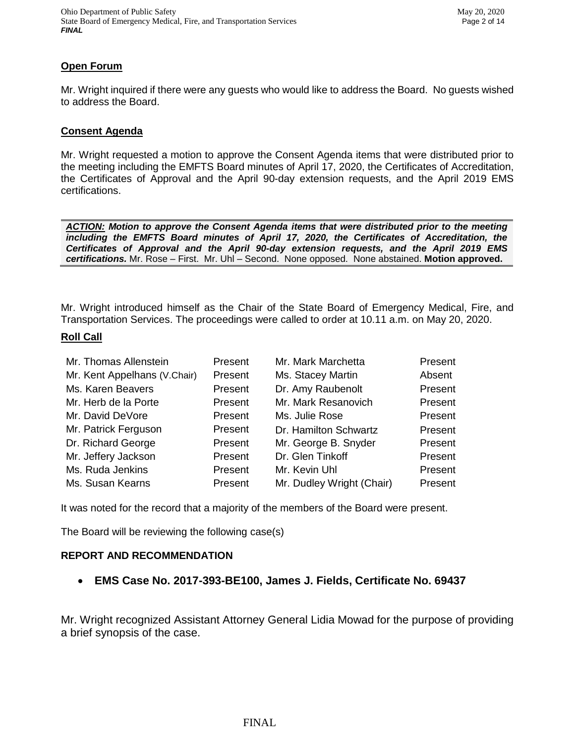# **Open Forum**

Mr. Wright inquired if there were any guests who would like to address the Board. No guests wished to address the Board.

## **Consent Agenda**

Mr. Wright requested a motion to approve the Consent Agenda items that were distributed prior to the meeting including the EMFTS Board minutes of April 17, 2020, the Certificates of Accreditation, the Certificates of Approval and the April 90-day extension requests, and the April 2019 EMS certifications.

*ACTION: Motion to approve the Consent Agenda items that were distributed prior to the meeting including the EMFTS Board minutes of April 17, 2020, the Certificates of Accreditation, the Certificates of Approval and the April 90-day extension requests, and the April 2019 EMS certifications.* Mr. Rose – First. Mr. Uhl – Second. None opposed. None abstained. **Motion approved.**

Mr. Wright introduced himself as the Chair of the State Board of Emergency Medical, Fire, and Transportation Services. The proceedings were called to order at 10.11 a.m. on May 20, 2020.

## **Roll Call**

| Mr. Thomas Allenstein        | Present | Mr. Mark Marchetta        | Present |
|------------------------------|---------|---------------------------|---------|
| Mr. Kent Appelhans (V.Chair) | Present | Ms. Stacey Martin         | Absent  |
| Ms. Karen Beavers            | Present | Dr. Amy Raubenolt         | Present |
| Mr. Herb de la Porte         | Present | Mr. Mark Resanovich       | Present |
| Mr. David DeVore             | Present | Ms. Julie Rose            | Present |
| Mr. Patrick Ferguson         | Present | Dr. Hamilton Schwartz     | Present |
| Dr. Richard George           | Present | Mr. George B. Snyder      | Present |
| Mr. Jeffery Jackson          | Present | Dr. Glen Tinkoff          | Present |
| Ms. Ruda Jenkins             | Present | Mr. Kevin Uhl             | Present |
| Ms. Susan Kearns             | Present | Mr. Dudley Wright (Chair) | Present |

It was noted for the record that a majority of the members of the Board were present.

The Board will be reviewing the following case(s)

## **REPORT AND RECOMMENDATION**

**EMS Case No. 2017-393-BE100, James J. Fields, Certificate No. 69437**

Mr. Wright recognized Assistant Attorney General Lidia Mowad for the purpose of providing a brief synopsis of the case.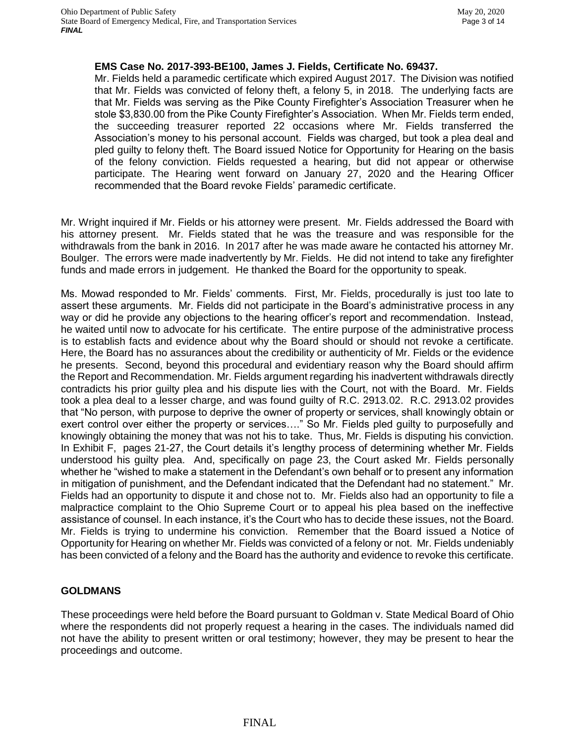## **EMS Case No. 2017-393-BE100, James J. Fields, Certificate No. 69437.**

Mr. Fields held a paramedic certificate which expired August 2017. The Division was notified that Mr. Fields was convicted of felony theft, a felony 5, in 2018. The underlying facts are that Mr. Fields was serving as the Pike County Firefighter's Association Treasurer when he stole \$3,830.00 from the Pike County Firefighter's Association. When Mr. Fields term ended, the succeeding treasurer reported 22 occasions where Mr. Fields transferred the Association's money to his personal account. Fields was charged, but took a plea deal and pled guilty to felony theft. The Board issued Notice for Opportunity for Hearing on the basis of the felony conviction. Fields requested a hearing, but did not appear or otherwise participate. The Hearing went forward on January 27, 2020 and the Hearing Officer recommended that the Board revoke Fields' paramedic certificate.

Mr. Wright inquired if Mr. Fields or his attorney were present. Mr. Fields addressed the Board with his attorney present. Mr. Fields stated that he was the treasure and was responsible for the withdrawals from the bank in 2016. In 2017 after he was made aware he contacted his attorney Mr. Boulger. The errors were made inadvertently by Mr. Fields. He did not intend to take any firefighter funds and made errors in judgement. He thanked the Board for the opportunity to speak.

Ms. Mowad responded to Mr. Fields' comments. First, Mr. Fields, procedurally is just too late to assert these arguments. Mr. Fields did not participate in the Board's administrative process in any way or did he provide any objections to the hearing officer's report and recommendation. Instead, he waited until now to advocate for his certificate. The entire purpose of the administrative process is to establish facts and evidence about why the Board should or should not revoke a certificate. Here, the Board has no assurances about the credibility or authenticity of Mr. Fields or the evidence he presents. Second, beyond this procedural and evidentiary reason why the Board should affirm the Report and Recommendation. Mr. Fields argument regarding his inadvertent withdrawals directly contradicts his prior guilty plea and his dispute lies with the Court, not with the Board. Mr. Fields took a plea deal to a lesser charge, and was found guilty of R.C. 2913.02. R.C. 2913.02 provides that "No person, with purpose to deprive the owner of property or services, shall knowingly obtain or exert control over either the property or services…." So Mr. Fields pled guilty to purposefully and knowingly obtaining the money that was not his to take. Thus, Mr. Fields is disputing his conviction. In Exhibit F, pages 21-27, the Court details it's lengthy process of determining whether Mr. Fields understood his guilty plea. And, specifically on page 23, the Court asked Mr. Fields personally whether he "wished to make a statement in the Defendant's own behalf or to present any information in mitigation of punishment, and the Defendant indicated that the Defendant had no statement." Mr. Fields had an opportunity to dispute it and chose not to. Mr. Fields also had an opportunity to file a malpractice complaint to the Ohio Supreme Court or to appeal his plea based on the ineffective assistance of counsel. In each instance, it's the Court who has to decide these issues, not the Board. Mr. Fields is trying to undermine his conviction. Remember that the Board issued a Notice of Opportunity for Hearing on whether Mr. Fields was convicted of a felony or not. Mr. Fields undeniably has been convicted of a felony and the Board has the authority and evidence to revoke this certificate.

# **GOLDMANS**

These proceedings were held before the Board pursuant to Goldman v. State Medical Board of Ohio where the respondents did not properly request a hearing in the cases. The individuals named did not have the ability to present written or oral testimony; however, they may be present to hear the proceedings and outcome.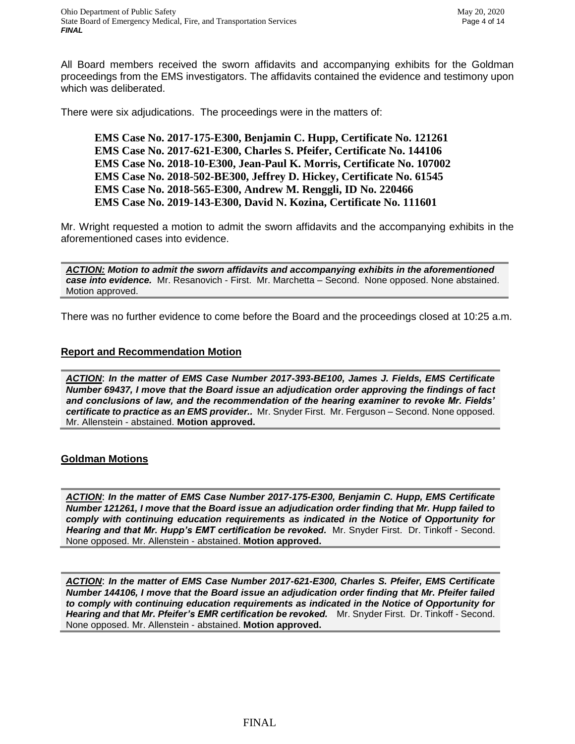All Board members received the sworn affidavits and accompanying exhibits for the Goldman proceedings from the EMS investigators. The affidavits contained the evidence and testimony upon which was deliberated.

There were six adjudications. The proceedings were in the matters of:

**EMS Case No. 2017-175-E300, Benjamin C. Hupp, Certificate No. 121261 EMS Case No. 2017-621-E300, Charles S. Pfeifer, Certificate No. 144106 EMS Case No. 2018-10-E300, Jean-Paul K. Morris, Certificate No. 107002 EMS Case No. 2018-502-BE300, Jeffrey D. Hickey, Certificate No. 61545 EMS Case No. 2018-565-E300, Andrew M. Renggli, ID No. 220466 EMS Case No. 2019-143-E300, David N. Kozina, Certificate No. 111601**

Mr. Wright requested a motion to admit the sworn affidavits and the accompanying exhibits in the aforementioned cases into evidence.

*ACTION: Motion to admit the sworn affidavits and accompanying exhibits in the aforementioned case into evidence.* Mr. Resanovich - First. Mr. Marchetta – Second. None opposed. None abstained. Motion approved.

There was no further evidence to come before the Board and the proceedings closed at 10:25 a.m.

## **Report and Recommendation Motion**

*ACTION*: *In the matter of EMS Case Number 2017-393-BE100, James J. Fields, EMS Certificate Number 69437, I move that the Board issue an adjudication order approving the findings of fact and conclusions of law, and the recommendation of the hearing examiner to revoke Mr. Fields' certificate to practice as an EMS provider..* Mr. Snyder First. Mr. Ferguson – Second. None opposed. Mr. Allenstein - abstained. **Motion approved.**

## **Goldman Motions**

*ACTION*: *In the matter of EMS Case Number 2017-175-E300, Benjamin C. Hupp, EMS Certificate Number 121261, I move that the Board issue an adjudication order finding that Mr. Hupp failed to comply with continuing education requirements as indicated in the Notice of Opportunity for*  Hearing and that Mr. Hupp's EMT certification be revoked. Mr. Snyder First. Dr. Tinkoff - Second. None opposed. Mr. Allenstein - abstained. **Motion approved.**

*ACTION*: *In the matter of EMS Case Number 2017-621-E300, Charles S. Pfeifer, EMS Certificate Number 144106, I move that the Board issue an adjudication order finding that Mr. Pfeifer failed to comply with continuing education requirements as indicated in the Notice of Opportunity for*  Hearing and that Mr. Pfeifer's EMR certification be revoked. Mr. Snyder First. Dr. Tinkoff - Second. None opposed. Mr. Allenstein - abstained. **Motion approved.**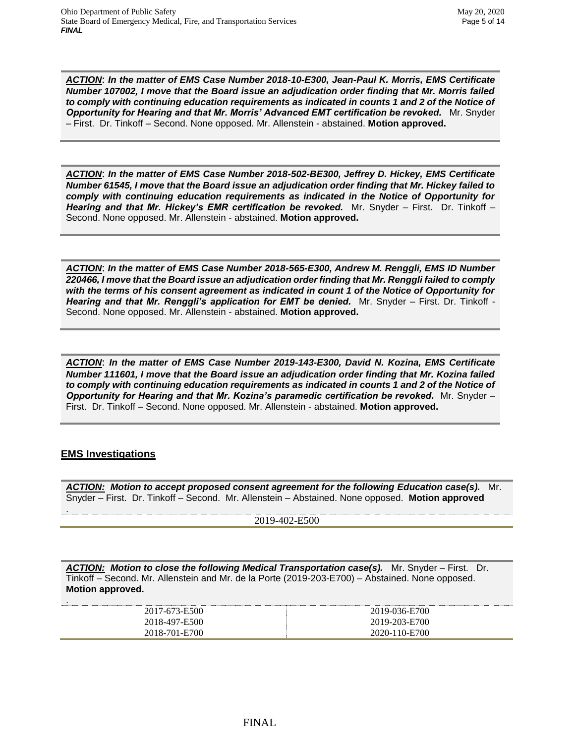*ACTION*: *In the matter of EMS Case Number 2018-10-E300, Jean-Paul K. Morris, EMS Certificate Number 107002, I move that the Board issue an adjudication order finding that Mr. Morris failed to comply with continuing education requirements as indicated in counts 1 and 2 of the Notice of Opportunity for Hearing and that Mr. Morris' Advanced EMT certification be revoked.* Mr. Snyder – First. Dr. Tinkoff – Second. None opposed. Mr. Allenstein - abstained. **Motion approved.**

*ACTION*: *In the matter of EMS Case Number 2018-502-BE300, Jeffrey D. Hickey, EMS Certificate Number 61545, I move that the Board issue an adjudication order finding that Mr. Hickey failed to comply with continuing education requirements as indicated in the Notice of Opportunity for Hearing and that Mr. Hickey's EMR certification be revoked.* Mr. Snyder – First. Dr. Tinkoff – Second. None opposed. Mr. Allenstein - abstained. **Motion approved.**

*ACTION*: *In the matter of EMS Case Number 2018-565-E300, Andrew M. Renggli, EMS ID Number 220466, I move that the Board issue an adjudication order finding that Mr. Renggli failed to comply with the terms of his consent agreement as indicated in count 1 of the Notice of Opportunity for*  **Hearing and that Mr. Renggli's application for EMT be denied.** Mr. Snyder – First. Dr. Tinkoff -Second. None opposed. Mr. Allenstein - abstained. **Motion approved.**

*ACTION*: *In the matter of EMS Case Number 2019-143-E300, David N. Kozina, EMS Certificate Number 111601, I move that the Board issue an adjudication order finding that Mr. Kozina failed to comply with continuing education requirements as indicated in counts 1 and 2 of the Notice of Opportunity for Hearing and that Mr. Kozina's paramedic certification be revoked.* Mr. Snyder – First. Dr. Tinkoff – Second. None opposed. Mr. Allenstein - abstained. **Motion approved.**

# **EMS Investigations**

.

*ACTION: Motion to accept proposed consent agreement for the following Education case(s).* Mr. Snyder – First. Dr. Tinkoff – Second. Mr. Allenstein – Abstained. None opposed. **Motion approved**

2019-402-E500

*ACTION: Motion to close the following Medical Transportation case(s).* Mr. Snyder – First. Dr. Tinkoff – Second. Mr. Allenstein and Mr. de la Porte (2019-203-E700) – Abstained. None opposed. **Motion approved.**

| 2017-673-E500 | 2019-036-E700 |
|---------------|---------------|
| 2018-497-E500 | 2019-203-E700 |
| 2018-701-E700 | 2020-110-E700 |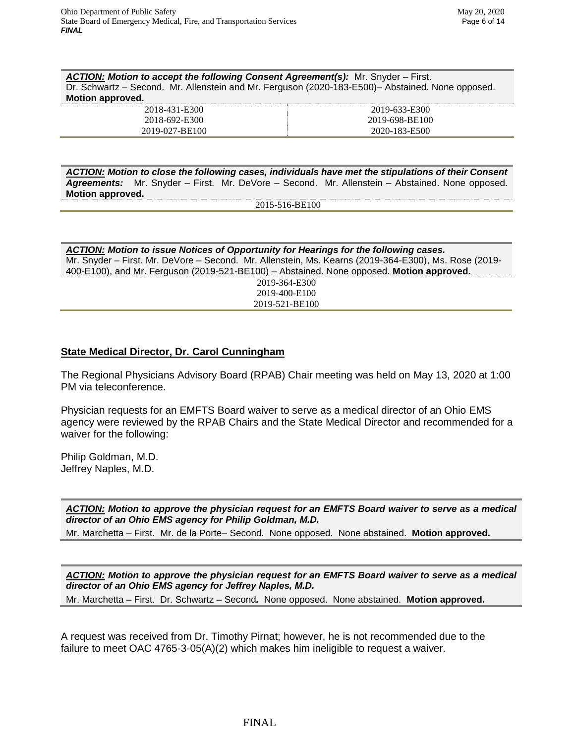*ACTION: Motion to accept the following Consent Agreement(s):* Mr. Snyder – First. Dr. Schwartz – Second. Mr. Allenstein and Mr. Ferguson (2020-183-E500)– Abstained. None opposed. **Motion approved.**

| 2018-431-E300  | 2019-633-E300  |
|----------------|----------------|
| 2018-692-E300  | 2019-698-BE100 |
| 2019-027-BE100 | 2020-183-E500  |

*ACTION: Motion to close the following cases, individuals have met the stipulations of their Consent Agreements:* Mr. Snyder – First. Mr. DeVore – Second. Mr. Allenstein – Abstained. None opposed. **Motion approved.**

2015-516-BE100

*ACTION: Motion to issue Notices of Opportunity for Hearings for the following cases.*  Mr. Snyder – First. Mr. DeVore – Second. Mr. Allenstein, Ms. Kearns (2019-364-E300), Ms. Rose (2019- 400-E100), and Mr. Ferguson (2019-521-BE100) – Abstained. None opposed. **Motion approved.** 2019-364-E300 2019-400-E100 2019-521-BE100

## **State Medical Director, Dr. Carol Cunningham**

The Regional Physicians Advisory Board (RPAB) Chair meeting was held on May 13, 2020 at 1:00 PM via teleconference.

Physician requests for an EMFTS Board waiver to serve as a medical director of an Ohio EMS agency were reviewed by the RPAB Chairs and the State Medical Director and recommended for a waiver for the following:

Philip Goldman, M.D. Jeffrey Naples, M.D.

*ACTION: Motion to approve the physician request for an EMFTS Board waiver to serve as a medical director of an Ohio EMS agency for Philip Goldman, M.D.*

Mr. Marchetta – First. Mr. de la Porte– Second*.* None opposed. None abstained. **Motion approved.**

*ACTION: Motion to approve the physician request for an EMFTS Board waiver to serve as a medical director of an Ohio EMS agency for Jeffrey Naples, M.D.* 

Mr. Marchetta – First. Dr. Schwartz – Second*.* None opposed. None abstained. **Motion approved.**

A request was received from Dr. Timothy Pirnat; however, he is not recommended due to the failure to meet OAC 4765-3-05(A)(2) which makes him ineligible to request a waiver.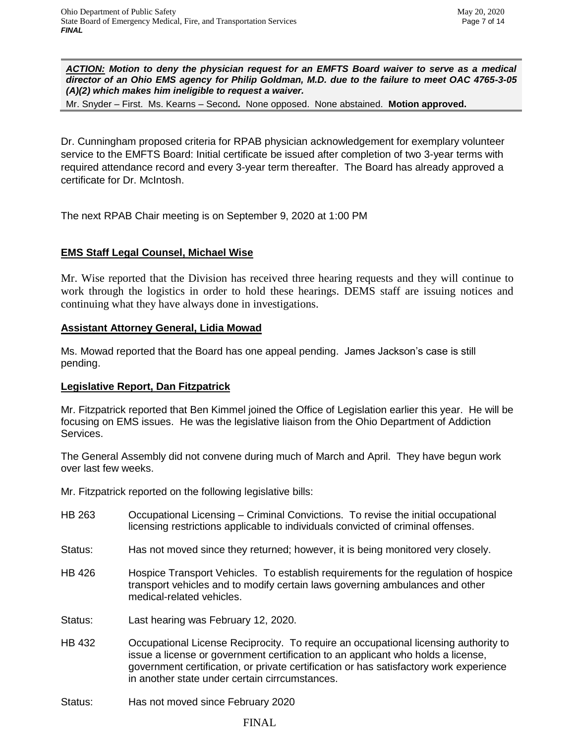*ACTION: Motion to deny the physician request for an EMFTS Board waiver to serve as a medical director of an Ohio EMS agency for Philip Goldman, M.D. due to the failure to meet OAC 4765-3-05 (A)(2) which makes him ineligible to request a waiver.*

Mr. Snyder – First. Ms. Kearns – Second*.* None opposed. None abstained. **Motion approved.**

Dr. Cunningham proposed criteria for RPAB physician acknowledgement for exemplary volunteer service to the EMFTS Board: Initial certificate be issued after completion of two 3-year terms with required attendance record and every 3-year term thereafter. The Board has already approved a certificate for Dr. McIntosh.

The next RPAB Chair meeting is on September 9, 2020 at 1:00 PM

# **EMS Staff Legal Counsel, Michael Wise**

Mr. Wise reported that the Division has received three hearing requests and they will continue to work through the logistics in order to hold these hearings. DEMS staff are issuing notices and continuing what they have always done in investigations.

# **Assistant Attorney General, Lidia Mowad**

Ms. Mowad reported that the Board has one appeal pending. James Jackson's case is still pending.

# **Legislative Report, Dan Fitzpatrick**

Mr. Fitzpatrick reported that Ben Kimmel joined the Office of Legislation earlier this year. He will be focusing on EMS issues. He was the legislative liaison from the Ohio Department of Addiction Services.

The General Assembly did not convene during much of March and April. They have begun work over last few weeks.

Mr. Fitzpatrick reported on the following legislative bills:

- HB 263 Occupational Licensing Criminal Convictions. To revise the initial occupational licensing restrictions applicable to individuals convicted of criminal offenses.
- Status: Has not moved since they returned; however, it is being monitored very closely.
- HB 426 Hospice Transport Vehicles. To establish requirements for the regulation of hospice transport vehicles and to modify certain laws governing ambulances and other medical-related vehicles.
- Status: Last hearing was February 12, 2020.
- HB 432 Occupational License Reciprocity. To require an occupational licensing authority to issue a license or government certification to an applicant who holds a license, government certification, or private certification or has satisfactory work experience in another state under certain cirrcumstances.
- Status: Has not moved since February 2020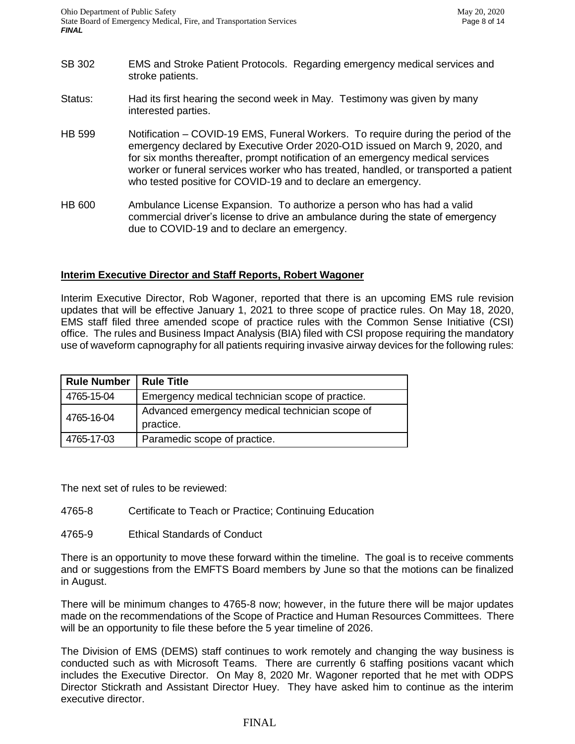- SB 302 EMS and Stroke Patient Protocols. Regarding emergency medical services and stroke patients.
- Status: Had its first hearing the second week in May. Testimony was given by many interested parties.
- HB 599 Notification COVID-19 EMS, Funeral Workers. To require during the period of the emergency declared by Executive Order 2020-O1D issued on March 9, 2020, and for six months thereafter, prompt notification of an emergency medical services worker or funeral services worker who has treated, handled, or transported a patient who tested positive for COVID-19 and to declare an emergency.
- HB 600 Ambulance License Expansion. To authorize a person who has had a valid commercial driver's license to drive an ambulance during the state of emergency due to COVID-19 and to declare an emergency.

# **Interim Executive Director and Staff Reports, Robert Wagoner**

Interim Executive Director, Rob Wagoner, reported that there is an upcoming EMS rule revision updates that will be effective January 1, 2021 to three scope of practice rules. On May 18, 2020, EMS staff filed three amended scope of practice rules with the Common Sense Initiative (CSI) office. The rules and Business Impact Analysis (BIA) filed with CSI propose requiring the mandatory use of waveform capnography for all patients requiring invasive airway devices for the following rules:

| <b>Rule Number</b> | <b>Rule Title</b>                                           |
|--------------------|-------------------------------------------------------------|
| 4765-15-04         | Emergency medical technician scope of practice.             |
| 4765-16-04         | Advanced emergency medical technician scope of<br>practice. |
| 4765-17-03         | Paramedic scope of practice.                                |

The next set of rules to be reviewed:

- 4765-8 Certificate to Teach or Practice; Continuing Education
- 4765-9 Ethical Standards of Conduct

There is an opportunity to move these forward within the timeline. The goal is to receive comments and or suggestions from the EMFTS Board members by June so that the motions can be finalized in August.

There will be minimum changes to 4765-8 now; however, in the future there will be major updates made on the recommendations of the Scope of Practice and Human Resources Committees. There will be an opportunity to file these before the 5 year timeline of 2026.

The Division of EMS (DEMS) staff continues to work remotely and changing the way business is conducted such as with Microsoft Teams. There are currently 6 staffing positions vacant which includes the Executive Director. On May 8, 2020 Mr. Wagoner reported that he met with ODPS Director Stickrath and Assistant Director Huey. They have asked him to continue as the interim executive director.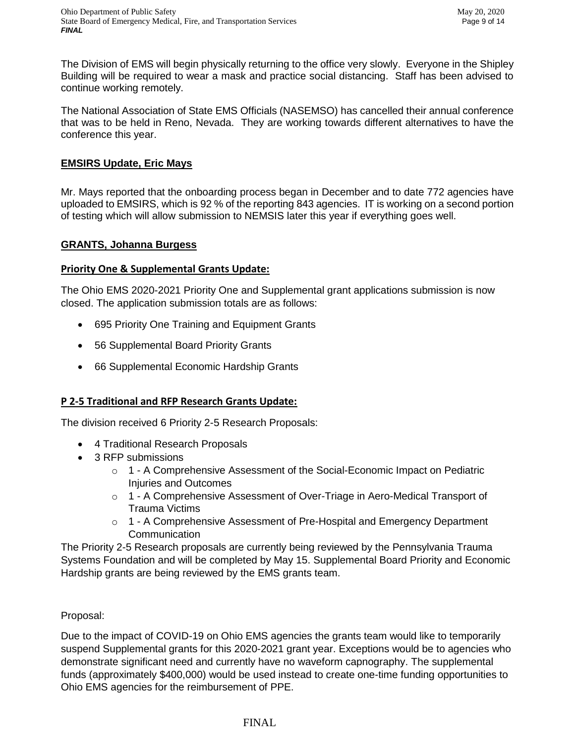The Division of EMS will begin physically returning to the office very slowly. Everyone in the Shipley Building will be required to wear a mask and practice social distancing. Staff has been advised to continue working remotely.

The National Association of State EMS Officials (NASEMSO) has cancelled their annual conference that was to be held in Reno, Nevada. They are working towards different alternatives to have the conference this year.

# **EMSIRS Update, Eric Mays**

Mr. Mays reported that the onboarding process began in December and to date 772 agencies have uploaded to EMSIRS, which is 92 % of the reporting 843 agencies. IT is working on a second portion of testing which will allow submission to NEMSIS later this year if everything goes well.

# **GRANTS, Johanna Burgess**

# **Priority One & Supplemental Grants Update:**

The Ohio EMS 2020-2021 Priority One and Supplemental grant applications submission is now closed. The application submission totals are as follows:

- 695 Priority One Training and Equipment Grants
- 56 Supplemental Board Priority Grants
- 66 Supplemental Economic Hardship Grants

# **P 2-5 Traditional and RFP Research Grants Update:**

The division received 6 Priority 2-5 Research Proposals:

- 4 Traditional Research Proposals
- 3 RFP submissions
	- o 1 A Comprehensive Assessment of the Social-Economic Impact on Pediatric Injuries and Outcomes
	- o 1 A Comprehensive Assessment of Over-Triage in Aero-Medical Transport of Trauma Victims
	- o 1 A Comprehensive Assessment of Pre-Hospital and Emergency Department **Communication**

The Priority 2-5 Research proposals are currently being reviewed by the Pennsylvania Trauma Systems Foundation and will be completed by May 15. Supplemental Board Priority and Economic Hardship grants are being reviewed by the EMS grants team.

# Proposal:

Due to the impact of COVID-19 on Ohio EMS agencies the grants team would like to temporarily suspend Supplemental grants for this 2020-2021 grant year. Exceptions would be to agencies who demonstrate significant need and currently have no waveform capnography. The supplemental funds (approximately \$400,000) would be used instead to create one-time funding opportunities to Ohio EMS agencies for the reimbursement of PPE.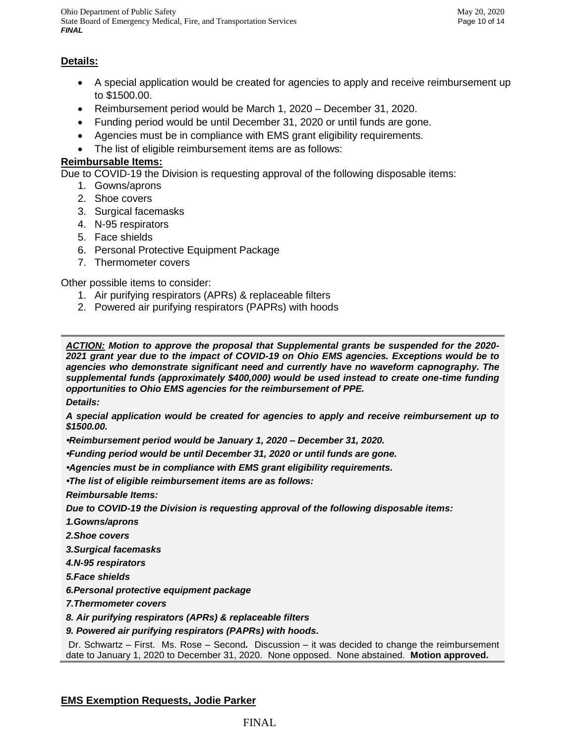Ohio Department of Public Safety May 20, 2020 State Board of Emergency Medical, Fire, and Transportation Services Page 10 of 14 *FINAL*

# **Details:**

- A special application would be created for agencies to apply and receive reimbursement up to \$1500.00.
- Reimbursement period would be March 1, 2020 December 31, 2020.
- Funding period would be until December 31, 2020 or until funds are gone.
- Agencies must be in compliance with EMS grant eligibility requirements.
- The list of eligible reimbursement items are as follows:

# **Reimbursable Items:**

Due to COVID-19 the Division is requesting approval of the following disposable items:

- 1. Gowns/aprons
- 2. Shoe covers
- 3. Surgical facemasks
- 4. N-95 respirators
- 5. Face shields
- 6. Personal Protective Equipment Package
- 7. Thermometer covers

Other possible items to consider:

- 1. Air purifying respirators (APRs) & replaceable filters
- 2. Powered air purifying respirators (PAPRs) with hoods

*ACTION: Motion to approve the proposal that Supplemental grants be suspended for the 2020- 2021 grant year due to the impact of COVID-19 on Ohio EMS agencies. Exceptions would be to agencies who demonstrate significant need and currently have no waveform capnography. The supplemental funds (approximately \$400,000) would be used instead to create one-time funding opportunities to Ohio EMS agencies for the reimbursement of PPE.*

*Details:* 

*A special application would be created for agencies to apply and receive reimbursement up to \$1500.00.* 

*•Reimbursement period would be January 1, 2020 – December 31, 2020.* 

*•Funding period would be until December 31, 2020 or until funds are gone.* 

*•Agencies must be in compliance with EMS grant eligibility requirements.*

*•The list of eligible reimbursement items are as follows:* 

*Reimbursable Items:*

*Due to COVID-19 the Division is requesting approval of the following disposable items:* 

*1.Gowns/aprons*

- *2.Shoe covers*
- *3.Surgical facemasks*
- *4.N-95 respirators*

*5.Face shields*

*6.Personal protective equipment package*

*7.Thermometer covers* 

*8. Air purifying respirators (APRs) & replaceable filters*

*9. Powered air purifying respirators (PAPRs) with hoods.*

Dr. Schwartz – First. Ms. Rose – Second*.* Discussion – it was decided to change the reimbursement date to January 1, 2020 to December 31, 2020. None opposed. None abstained. **Motion approved.**

# **EMS Exemption Requests, Jodie Parker**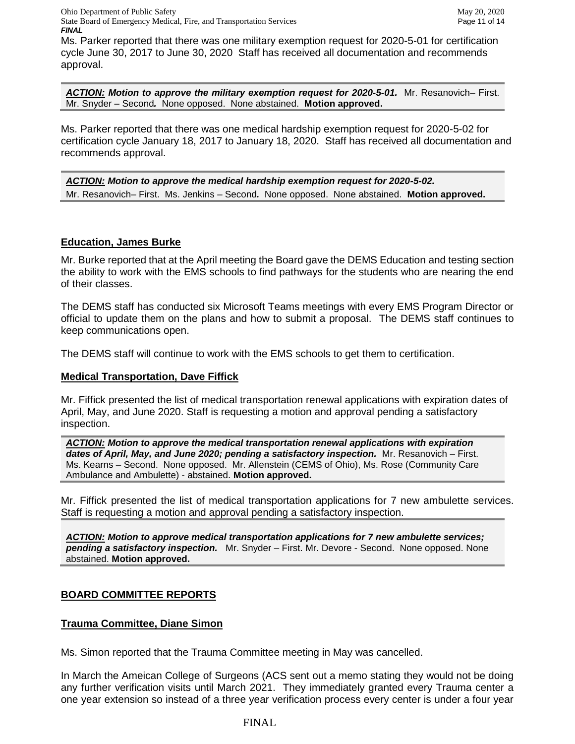Ohio Department of Public Safety May 20, 2020 State Board of Emergency Medical, Fire, and Transportation Services Page 11 of 14 *FINAL*

Ms. Parker reported that there was one military exemption request for 2020-5-01 for certification cycle June 30, 2017 to June 30, 2020 Staff has received all documentation and recommends approval.

*ACTION: Motion to approve the military exemption request for 2020-5-01.* Mr. Resanovich– First. Mr. Snyder – Second*.* None opposed. None abstained. **Motion approved.**

Ms. Parker reported that there was one medical hardship exemption request for 2020-5-02 for certification cycle January 18, 2017 to January 18, 2020. Staff has received all documentation and recommends approval.

*ACTION: Motion to approve the medical hardship exemption request for 2020-5-02.*  Mr. Resanovich– First. Ms. Jenkins – Second*.* None opposed. None abstained. **Motion approved.**

## **Education, James Burke**

Mr. Burke reported that at the April meeting the Board gave the DEMS Education and testing section the ability to work with the EMS schools to find pathways for the students who are nearing the end of their classes.

The DEMS staff has conducted six Microsoft Teams meetings with every EMS Program Director or official to update them on the plans and how to submit a proposal. The DEMS staff continues to keep communications open.

The DEMS staff will continue to work with the EMS schools to get them to certification.

## **Medical Transportation, Dave Fiffick**

Mr. Fiffick presented the list of medical transportation renewal applications with expiration dates of April, May, and June 2020. Staff is requesting a motion and approval pending a satisfactory inspection.

*ACTION: Motion to approve the medical transportation renewal applications with expiration dates of April, May, and June 2020; pending a satisfactory inspection.* Mr. Resanovich – First. Ms. Kearns – Second. None opposed. Mr. Allenstein (CEMS of Ohio), Ms. Rose (Community Care Ambulance and Ambulette) - abstained. **Motion approved.**

Mr. Fiffick presented the list of medical transportation applications for 7 new ambulette services. Staff is requesting a motion and approval pending a satisfactory inspection.

*ACTION: Motion to approve medical transportation applications for 7 new ambulette services; pending a satisfactory inspection.* Mr. Snyder – First. Mr. Devore - Second. None opposed. None abstained. **Motion approved.**

# **BOARD COMMITTEE REPORTS**

## **Trauma Committee, Diane Simon**

Ms. Simon reported that the Trauma Committee meeting in May was cancelled.

In March the Ameican College of Surgeons (ACS sent out a memo stating they would not be doing any further verification visits until March 2021. They immediately granted every Trauma center a one year extension so instead of a three year verification process every center is under a four year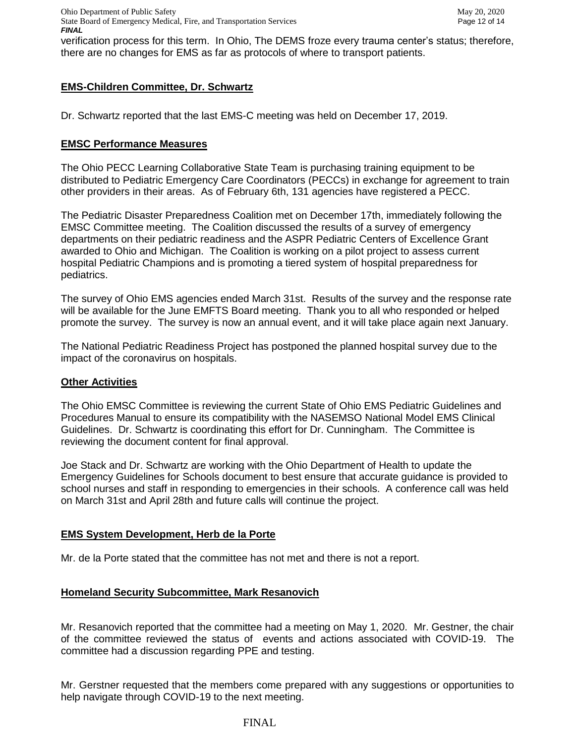verification process for this term. In Ohio, The DEMS froze every trauma center's status; therefore, there are no changes for EMS as far as protocols of where to transport patients.

# **EMS-Children Committee, Dr. Schwartz**

Dr. Schwartz reported that the last EMS-C meeting was held on December 17, 2019.

## **EMSC Performance Measures**

The Ohio PECC Learning Collaborative State Team is purchasing training equipment to be distributed to Pediatric Emergency Care Coordinators (PECCs) in exchange for agreement to train other providers in their areas. As of February 6th, 131 agencies have registered a PECC.

The Pediatric Disaster Preparedness Coalition met on December 17th, immediately following the EMSC Committee meeting. The Coalition discussed the results of a survey of emergency departments on their pediatric readiness and the ASPR Pediatric Centers of Excellence Grant awarded to Ohio and Michigan. The Coalition is working on a pilot project to assess current hospital Pediatric Champions and is promoting a tiered system of hospital preparedness for pediatrics.

The survey of Ohio EMS agencies ended March 31st. Results of the survey and the response rate will be available for the June EMFTS Board meeting. Thank you to all who responded or helped promote the survey. The survey is now an annual event, and it will take place again next January.

The National Pediatric Readiness Project has postponed the planned hospital survey due to the impact of the coronavirus on hospitals.

## **Other Activities**

The Ohio EMSC Committee is reviewing the current State of Ohio EMS Pediatric Guidelines and Procedures Manual to ensure its compatibility with the NASEMSO National Model EMS Clinical Guidelines. Dr. Schwartz is coordinating this effort for Dr. Cunningham. The Committee is reviewing the document content for final approval.

Joe Stack and Dr. Schwartz are working with the Ohio Department of Health to update the Emergency Guidelines for Schools document to best ensure that accurate guidance is provided to school nurses and staff in responding to emergencies in their schools. A conference call was held on March 31st and April 28th and future calls will continue the project.

# **EMS System Development, Herb de la Porte**

Mr. de la Porte stated that the committee has not met and there is not a report.

# **Homeland Security Subcommittee, Mark Resanovich**

Mr. Resanovich reported that the committee had a meeting on May 1, 2020. Mr. Gestner, the chair of the committee reviewed the status of events and actions associated with COVID-19. The committee had a discussion regarding PPE and testing.

Mr. Gerstner requested that the members come prepared with any suggestions or opportunities to help navigate through COVID-19 to the next meeting.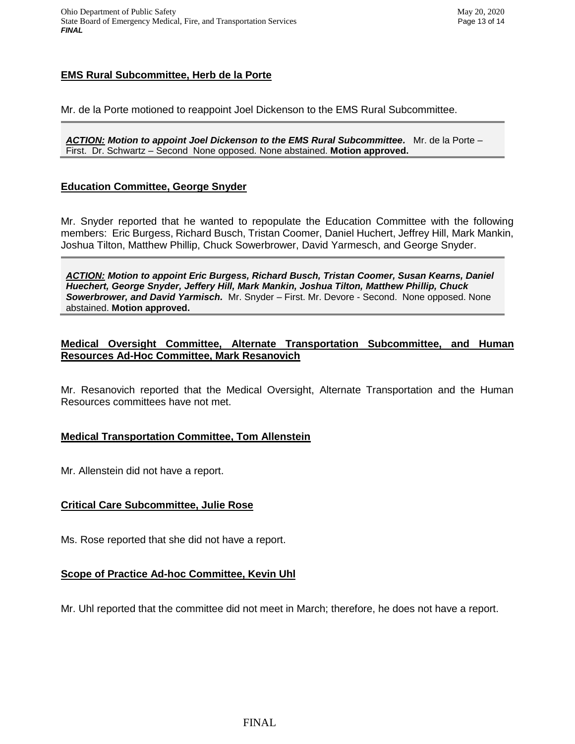## **EMS Rural Subcommittee, Herb de la Porte**

Mr. de la Porte motioned to reappoint Joel Dickenson to the EMS Rural Subcommittee.

*ACTION: Motion to appoint Joel Dickenson to the EMS Rural Subcommittee.* Mr. de la Porte – First. Dr. Schwartz – Second None opposed. None abstained. **Motion approved.**

## **Education Committee, George Snyder**

Mr. Snyder reported that he wanted to repopulate the Education Committee with the following members: Eric Burgess, Richard Busch, Tristan Coomer, Daniel Huchert, Jeffrey Hill, Mark Mankin, Joshua Tilton, Matthew Phillip, Chuck Sowerbrower, David Yarmesch, and George Snyder.

*ACTION: Motion to appoint Eric Burgess, Richard Busch, Tristan Coomer, Susan Kearns, Daniel Huechert, George Snyder, Jeffery Hill, Mark Mankin, Joshua Tilton, Matthew Phillip, Chuck Sowerbrower, and David Yarmisch.* Mr. Snyder – First. Mr. Devore - Second. None opposed. None abstained. **Motion approved.**

## **Medical Oversight Committee, Alternate Transportation Subcommittee, and Human Resources Ad-Hoc Committee, Mark Resanovich**

Mr. Resanovich reported that the Medical Oversight, Alternate Transportation and the Human Resources committees have not met.

## **Medical Transportation Committee, Tom Allenstein**

Mr. Allenstein did not have a report.

## **Critical Care Subcommittee, Julie Rose**

Ms. Rose reported that she did not have a report.

## **Scope of Practice Ad-hoc Committee, Kevin Uhl**

Mr. Uhl reported that the committee did not meet in March; therefore, he does not have a report.